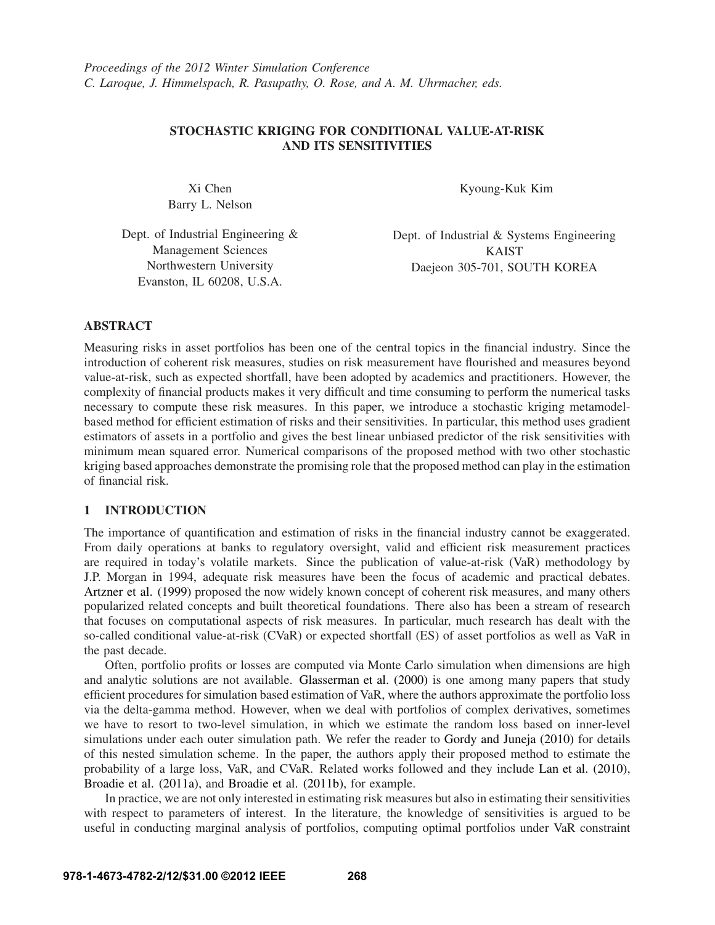# **STOCHASTIC KRIGING FOR CONDITIONAL VALUE-AT-RISK AND ITS SENSITIVITIES**

Xi Chen Barry L. Nelson Kyoung-Kuk Kim

Dept. of Industrial Engineering & Management Sciences Northwestern University Evanston, IL 60208, U.S.A.

Dept. of Industrial & Systems Engineering KAIST Daejeon 305-701, SOUTH KOREA

# **ABSTRACT**

Measuring risks in asset portfolios has been one of the central topics in the financial industry. Since the introduction of coherent risk measures, studies on risk measurement have flourished and measures beyond value-at-risk, such as expected shortfall, have been adopted by academics and practitioners. However, the complexity of financial products makes it very difficult and time consuming to perform the numerical tasks necessary to compute these risk measures. In this paper, we introduce a stochastic kriging metamodelbased method for efficient estimation of risks and their sensitivities. In particular, this method uses gradient estimators of assets in a portfolio and gives the best linear unbiased predictor of the risk sensitivities with minimum mean squared error. Numerical comparisons of the proposed method with two other stochastic kriging based approaches demonstrate the promising role that the proposed method can play in the estimation of financial risk.

# **1 INTRODUCTION**

The importance of quantification and estimation of risks in the financial industry cannot be exaggerated. From daily operations at banks to regulatory oversight, valid and efficient risk measurement practices are required in today's volatile markets. Since the publication of value-at-risk (VaR) methodology by J.P. Morgan in 1994, adequate risk measures have been the focus of academic and practical debates. Artzner et al. (1999) proposed the now widely known concept of coherent risk measures, and many others popularized related concepts and built theoretical foundations. There also has been a stream of research that focuses on computational aspects of risk measures. In particular, much research has dealt with the so-called conditional value-at-risk (CVaR) or expected shortfall (ES) of asset portfolios as well as VaR in the past decade.

Often, portfolio profits or losses are computed via Monte Carlo simulation when dimensions are high and analytic solutions are not available. Glasserman et al. (2000) is one among many papers that study efficient procedures for simulation based estimation of VaR, where the authors approximate the portfolio loss via the delta-gamma method. However, when we deal with portfolios of complex derivatives, sometimes we have to resort to two-level simulation, in which we estimate the random loss based on inner-level simulations under each outer simulation path. We refer the reader to Gordy and Juneja (2010) for details of this nested simulation scheme. In the paper, the authors apply their proposed method to estimate the probability of a large loss, VaR, and CVaR. Related works followed and they include Lan et al. (2010), Broadie et al. (2011a), and Broadie et al. (2011b), for example.

In practice, we are not only interested in estimating risk measures but also in estimating their sensitivities with respect to parameters of interest. In the literature, the knowledge of sensitivities is argued to be useful in conducting marginal analysis of portfolios, computing optimal portfolios under VaR constraint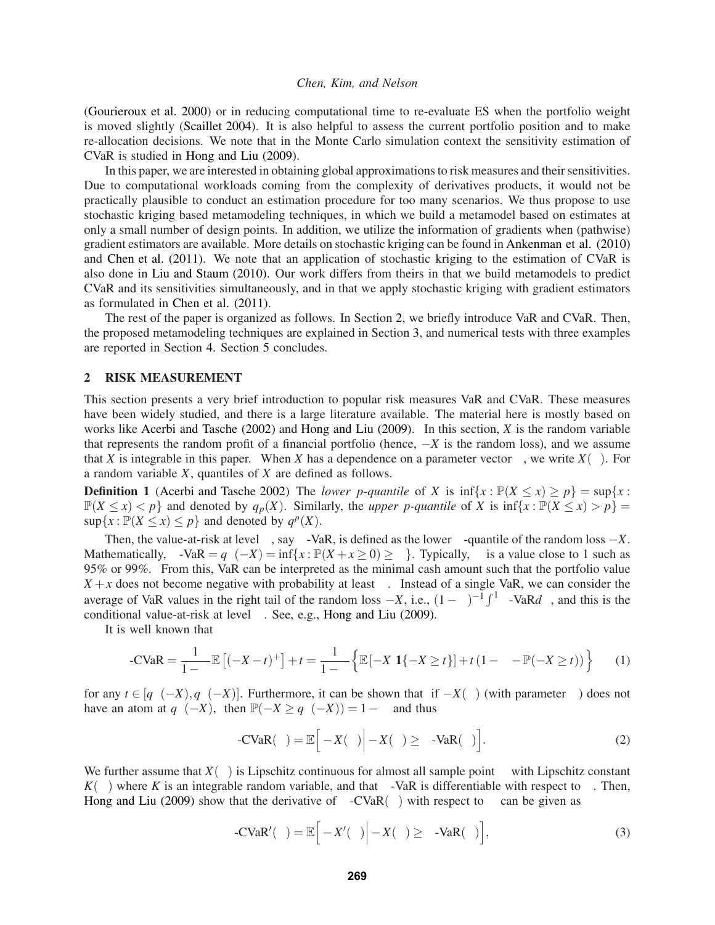(Gourieroux et al. 2000) or in reducing computational time to re-evaluate ES when the portfolio weight is moved slightly (Scaillet 2004). It is also helpful to assess the current portfolio position and to make re-allocation decisions. We note that in the Monte Carlo simulation context the sensitivity estimation of CVaR is studied in Hong and Liu (2009).

In this paper, we are interested in obtaining global approximations to risk measures and their sensitivities. Due to computational workloads coming from the complexity of derivatives products, it would not be practically plausible to conduct an estimation procedure for too many scenarios. We thus propose to use stochastic kriging based metamodeling techniques, in which we build a metamodel based on estimates at only a small number of design points. In addition, we utilize the information of gradients when (pathwise) gradient estimators are available. More details on stochastic kriging can be found in Ankenman et al. (2010) and Chen et al. (2011). We note that an application of stochastic kriging to the estimation of CVaR is also done in Liu and Staum (2010). Our work differs from theirs in that we build metamodels to predict CVaR and its sensitivities simultaneously, and in that we apply stochastic kriging with gradient estimators as formulated in Chen et al. (2011).

The rest of the paper is organized as follows. In Section 2, we briefly introduce VaR and CVaR. Then, the proposed metamodeling techniques are explained in Section 3, and numerical tests with three examples are reported in Section 4. Section 5 concludes.

### **2 RISK MEASUREMENT**

This section presents a very brief introduction to popular risk measures VaR and CVaR. These measures have been widely studied, and there is a large literature available. The material here is mostly based on works like Acerbi and Tasche (2002) and Hong and Liu (2009). In this section, *X* is the random variable that represents the random profit of a financial portfolio (hence, −*X* is the random loss), and we assume that *X* is integrable in this paper. When *X* has a dependence on a parameter vector  $\theta$ , we write  $X(\theta)$ . For a random variable *X*, quantiles of *X* are defined as follows.

**Definition 1** (Acerbi and Tasche 2002) The *lower p-quantile* of *X* is  $\inf\{x : \mathbb{P}(X \leq x) \geq p\} = \sup\{x : \mathbb{P}(X \leq x) \geq p\}$  $\mathbb{P}(X \leq x) < p$  and denoted by  $q_p(X)$ . Similarly, the *upper p-quantile* of *X* is  $\inf\{x : \mathbb{P}(X \leq x) > p\}$  $\sup\{x : \mathbb{P}(X \leq x) \leq p\}$  and denoted by  $q^p(X)$ .

Then, the value-at-risk at level  $\alpha$ , say  $\alpha$ -VaR, is defined as the lower  $\alpha$ -quantile of the random loss  $-X$ . Mathematically,  $\alpha$ -VaR =  $q_{\alpha}(-X) = \inf\{x : \mathbb{P}(X + x \ge 0) \ge \alpha\}$ . Typically,  $\alpha$  is a value close to 1 such as 95% or 99%. From this, VaR can be interpreted as the minimal cash amount such that the portfolio value  $X + x$  does not become negative with probability at least  $\alpha$ . Instead of a single VaR, we can consider the average of VaR values in the right tail of the random loss  $-X$ , i.e.,  $(1-\alpha)^{-1} \int_{\alpha}^{1} \beta$ -VaR $d\beta$ , and this is the conditional value-at-risk at level  $\alpha$ . See, e.g., Hong and Liu (2009).

It is well known that

$$
\alpha \text{-CVaR} = \frac{1}{1-\alpha} \mathbb{E}\left[ (-X-t)^{+} \right] + t = \frac{1}{1-\alpha} \Big\{ \mathbb{E}\left[ -X \ \mathbf{1}\{-X \ge t\} \right] + t \left( 1 - \alpha - \mathbb{P}(-X \ge t) \right) \Big\} \tag{1}
$$

for any  $t \in [q_\alpha(-X), q^\alpha(-X)]$ . Furthermore, it can be shown that if  $-X(\mu)$  (with parameter  $\mu$ ) does not have an atom at  $q_{\alpha}(-X)$ , then  $\mathbb{P}(-X \geq q_{\alpha}(-X)) = 1 - \alpha$  and thus

$$
\alpha\text{-}CVaR(\mu) = \mathbb{E}\Big[-X(\mu)\Big| - X(\mu) \ge \alpha\text{-}VaR(\mu)\Big].\tag{2}
$$

We further assume that  $X(\mu)$  is Lipschitz continuous for almost all sample point  $\omega$  with Lipschitz constant  $K(\omega)$  where *K* is an integrable random variable, and that  $\alpha$ -VaR is differentiable with respect to  $\mu$ . Then, Hong and Liu (2009) show that the derivative of  $\alpha$ -CVaR( $\mu$ ) with respect to  $\mu$  can be given as

$$
\alpha\text{-}CVaR'(\mu) = \mathbb{E}\Big[-X'(\mu)\Big| - X(\mu) \ge \alpha\text{-}VaR(\mu)\Big],\tag{3}
$$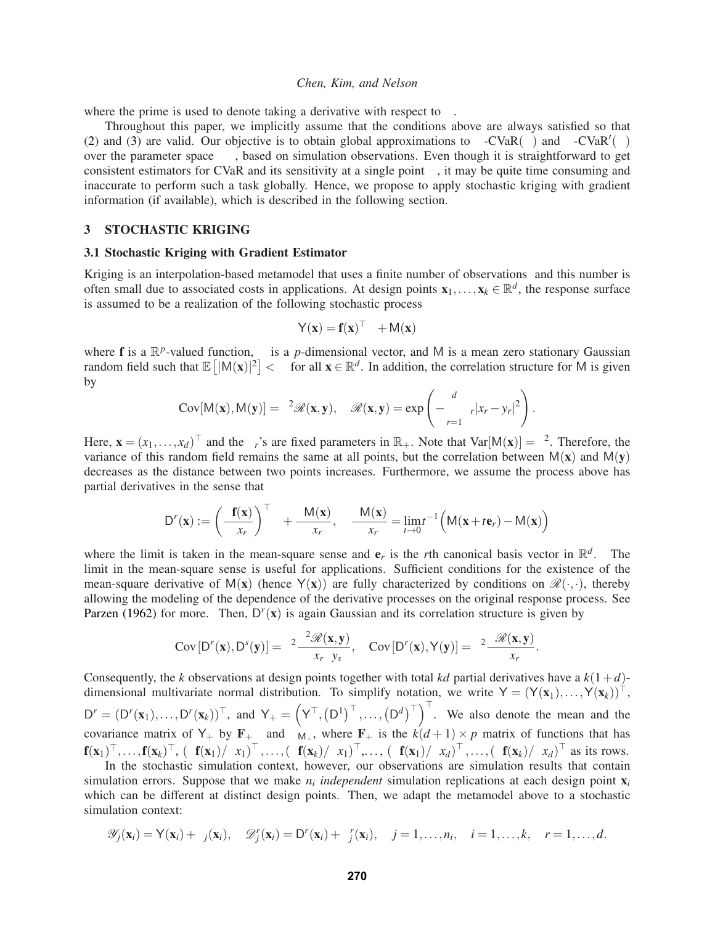where the prime is used to denote taking a derivative with respect to  $\mu$ .

Throughout this paper, we implicitly assume that the conditions above are always satisfied so that (2) and (3) are valid. Our objective is to obtain global approximations to  $\alpha$ -CVaR $(\mu)$  and  $\alpha$ -CVaR' $(\mu)$ over the parameter space  $\Omega_{\mu}$ , based on simulation observations. Even though it is straightforward to get consistent estimators for CVaR and its sensitivity at a single point  $\mu$ , it may be quite time consuming and inaccurate to perform such a task globally. Hence, we propose to apply stochastic kriging with gradient information (if available), which is described in the following section.

# **3 STOCHASTIC KRIGING**

#### **3.1 Stochastic Kriging with Gradient Estimator**

Kriging is an interpolation-based metamodel that uses a finite number of observations and this number is often small due to associated costs in applications. At design points  $\mathbf{x}_1,\ldots,\mathbf{x}_k \in \mathbb{R}^d$ , the response surface is assumed to be a realization of the following stochastic process

$$
Y(\mathbf{x}) = \mathbf{f}(\mathbf{x})^\top \boldsymbol{\beta} + M(\mathbf{x})
$$

where **f** is a  $\mathbb{R}^p$ -valued function,  $\beta$  is a *p*-dimensional vector, and M is a mean zero stationary Gaussian random field such that  $\mathbb{E} \left[ |M(\mathbf{x})|^2 \right] < \infty$  for all  $\mathbf{x} \in \mathbb{R}^d$ . In addition, the correlation structure for M is given by

$$
Cov[M(\mathbf{x}), M(\mathbf{y})] = \tau^2 \mathscr{R}(\mathbf{x}, \mathbf{y}), \quad \mathscr{R}(\mathbf{x}, \mathbf{y}) = \exp\left(-\sum_{r=1}^d \theta_r |x_r - y_r|^2\right).
$$

Here,  $\mathbf{x} = (x_1, \dots, x_d)^\top$  and the  $\theta_r$ 's are fixed parameters in  $\mathbb{R}_+$ . Note that  $Var[M(\mathbf{x})] = \tau^2$ . Therefore, the variance of this random field remains the same at all points, but the correlation between  $M(x)$  and  $M(y)$ decreases as the distance between two points increases. Furthermore, we assume the process above has partial derivatives in the sense that

$$
D^{r}(\mathbf{x}) := \left(\frac{\partial \mathbf{f}(\mathbf{x})}{\partial x_{r}}\right)^{\top} \beta + \frac{\partial M(\mathbf{x})}{\partial x_{r}}, \quad \frac{\partial M(\mathbf{x})}{\partial x_{r}} = \lim_{t \to 0} t^{-1} \Big(M(\mathbf{x} + t\mathbf{e}_{r}) - M(\mathbf{x})\Big)
$$

where the limit is taken in the mean-square sense and  $e_r$  is the *r*th canonical basis vector in  $\mathbb{R}^d$ . The limit in the mean-square sense is useful for applications. Sufficient conditions for the existence of the mean-square derivative of  $M(x)$  (hence  $Y(x)$ ) are fully characterized by conditions on  $\mathcal{R}(\cdot, \cdot)$ , thereby allowing the modeling of the dependence of the derivative processes on the original response process. See Parzen (1962) for more. Then,  $D<sup>r</sup>(\mathbf{x})$  is again Gaussian and its correlation structure is given by

$$
Cov[D^{r}(x), D^{s}(y)] = \tau^{2} \frac{\partial^{2} \mathscr{R}(x, y)}{\partial x_{r} \partial y_{s}}, \quad Cov[D^{r}(x), Y(y)] = \tau^{2} \frac{\partial \mathscr{R}(x, y)}{\partial x_{r}}.
$$

Consequently, the *k* observations at design points together with total *kd* partial derivatives have a  $k(1+d)$ dimensional multivariate normal distribution. To simplify notation, we write  $Y = (Y(\mathbf{x}_1),...,Y(\mathbf{x}_k))^T$ ,

 $D^r = (D^r(\mathbf{x}_1),...,D^r(\mathbf{x}_k))^{\top}$ , and  $Y_+ = (\mathbf{Y}^{\top}, (D^1)^{\top},..., (D^d)^{\top})^{\top}$ . We also denote the mean and the covariance matrix of  $Y_+$  by  $\mathbf{F}_+ \beta$  and  $\Sigma_{M_+}$ , where  $\mathbf{F}_+$  is the  $k(d+1) \times p$  matrix of functions that has  $\mathbf{f}(\mathbf{x}_1)^\top,\ldots,\mathbf{f}(\mathbf{x}_k)^\top,\ (\partial \mathbf{f}(\mathbf{x}_1)/\partial x_1)^\top,\ldots, (\partial \mathbf{f}(\mathbf{x}_k)/\partial x_1)^\top,\ldots, (\partial \mathbf{f}(\mathbf{x}_1)/\partial x_d)^\top,\ldots, (\partial \mathbf{f}(\mathbf{x}_k)/\partial x_d)^\top$  as its rows. In the stochastic simulation context, however, our observations are simulation results that contain

simulation errors. Suppose that we make *n<sup>i</sup> independent* simulation replications at each design point **x***<sup>i</sup>* which can be different at distinct design points. Then, we adapt the metamodel above to a stochastic simulation context:

$$
\mathscr{Y}_j(\mathbf{x}_i) = \mathsf{Y}(\mathbf{x}_i) + \varepsilon_j(\mathbf{x}_i), \quad \mathscr{D}_j^r(\mathbf{x}_i) = \mathsf{D}^r(\mathbf{x}_i) + \zeta_j^r(\mathbf{x}_i), \quad j = 1, \ldots, n_i, \quad i = 1, \ldots, k, \quad r = 1, \ldots, d.
$$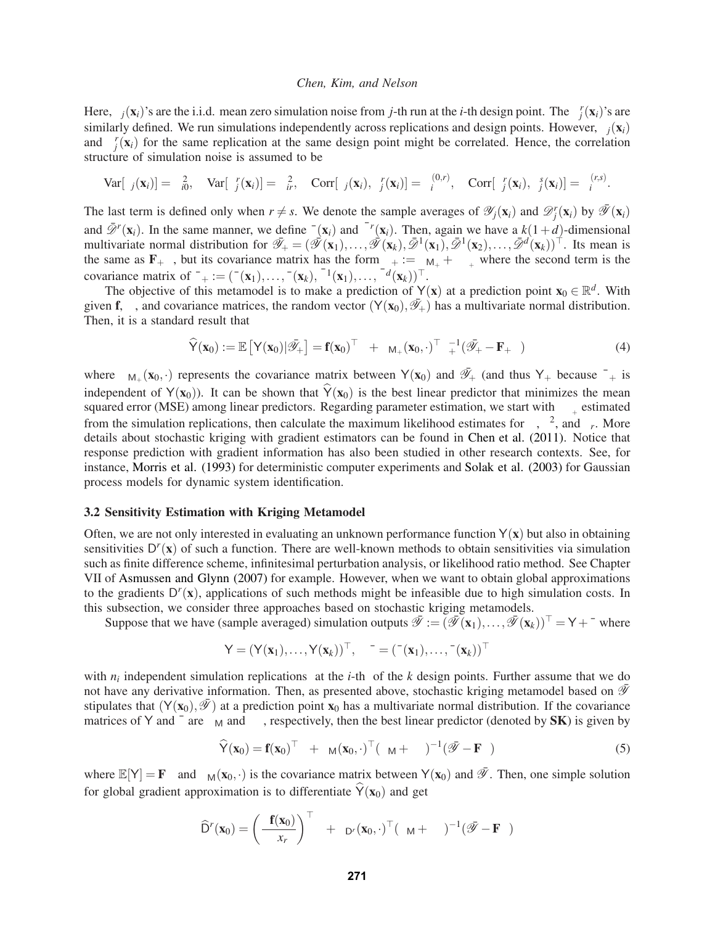Here,  $\varepsilon_j(\mathbf{x}_i)$ 's are the i.i.d. mean zero simulation noise from *j*-th run at the *i*-th design point. The  $\zeta_j^r(\mathbf{x}_i)$ 's are similarly defined. We run simulations independently across replications and design points. However,  $\varepsilon_i(\mathbf{x}_i)$ and  $\zeta_i^r(\mathbf{x}_i)$  for the same replication at the same design point might be correlated. Hence, the correlation structure of simulation noise is assumed to be

$$
\text{Var}[\varepsilon_j(\mathbf{x}_i)] = \sigma_{i0}^2, \quad \text{Var}[\zeta_j^r(\mathbf{x}_i)] = \sigma_{ir}^2, \quad \text{Corr}[\varepsilon_j(\mathbf{x}_i), \zeta_j^r(\mathbf{x}_i)] = \rho_i^{(0,r)}, \quad \text{Corr}[\zeta_j^r(\mathbf{x}_i), \zeta_j^s(\mathbf{x}_i)] = \rho_i^{(r,s)}.
$$

The last term is defined only when  $r \neq s$ . We denote the sample averages of  $\mathscr{Y}_j(\mathbf{x}_i)$  and  $\mathscr{D}_j^r(\mathbf{x}_i)$  by  $\bar{\mathscr{Y}}(\mathbf{x}_i)$ and  $\bar{\mathscr{D}}^r(\mathbf{x}_i)$ . In the same manner, we define  $\bar{\varepsilon}(\mathbf{x}_i)$  and  $\bar{\zeta}^r(\mathbf{x}_i)$ . Then, again we have a  $k(1+d)$ -dimensional multivariate normal distribution for  $\overline{\mathscr{Y}}_+ = (\overline{\mathscr{Y}}(x_1),..., \overline{\mathscr{Y}}(x_k), \overline{\mathscr{D}}^1(x_1), \overline{\mathscr{D}}^1(x_2),..., \overline{\mathscr{D}}^d(x_k))^{\top}$ . Its mean is the same as  $\mathbf{F}_+\beta$ , but its covariance matrix has the form  $\Sigma_+ := \Sigma_{\mathsf{M}_+} + \Sigma_{\mathcal{E}_+}$  where the second term is the covariance matrix of  $\bar{\varepsilon}_+ := (\bar{\varepsilon}(\mathbf{x}_1),...,\bar{\varepsilon}(\mathbf{x}_k), \bar{\zeta}^1(\mathbf{x}_1),...,\bar{\zeta}^d(\mathbf{x}_k))^{\top}$ .

The objective of this metamodel is to make a prediction of  $Y(x)$  at a prediction point  $x_0 \in \mathbb{R}^d$ . With given **f**,  $\beta$ , and covariance matrices, the random vector  $(Y(\mathbf{x}_0), \mathcal{Y}_+)$  has a multivariate normal distribution. Then, it is a standard result that

$$
\widehat{\mathsf{Y}}(\mathbf{x}_0) := \mathbb{E}\left[\mathsf{Y}(\mathbf{x}_0)|\bar{\mathscr{Y}}_+\right] = \mathbf{f}(\mathbf{x}_0)^\top \boldsymbol{\beta} + \boldsymbol{\Sigma}_{\mathsf{M}_+}(\mathbf{x}_0, \cdot)^\top \boldsymbol{\Sigma}_+^{-1} (\bar{\mathscr{Y}}_+ - \mathbf{F}_+ \boldsymbol{\beta})\tag{4}
$$

where  $\Sigma_{M_+}(\mathbf{x}_0, \cdot)$  represents the covariance matrix between  $Y(\mathbf{x}_0)$  and  $\overline{\mathscr{Y}}_+$  (and thus  $Y_+$  because  $\overline{\mathbf{\varepsilon}}_+$  is independent of  $Y(\mathbf{x}_0)$ ). It can be shown that  $\hat{Y}(\mathbf{x}_0)$  is the best linear predictor that minimizes the mean squared error (MSE) among linear predictors. Regarding parameter estimation, we start with  $\Sigma_{\mathcal{E}_+}$  estimated from the simulation replications, then calculate the maximum likelihood estimates for  $\beta$ ,  $\tau^2$ , and  $\theta_r$ . More details about stochastic kriging with gradient estimators can be found in Chen et al. (2011). Notice that response prediction with gradient information has also been studied in other research contexts. See, for instance, Morris et al. (1993) for deterministic computer experiments and Solak et al. (2003) for Gaussian process models for dynamic system identification.

#### **3.2 Sensitivity Estimation with Kriging Metamodel**

Often, we are not only interested in evaluating an unknown performance function  $Y(x)$  but also in obtaining sensitivities  $D<sup>r</sup>(x)$  of such a function. There are well-known methods to obtain sensitivities via simulation such as finite difference scheme, infinitesimal perturbation analysis, or likelihood ratio method. See Chapter VII of Asmussen and Glynn (2007) for example. However, when we want to obtain global approximations to the gradients D *r* (**x**), applications of such methods might be infeasible due to high simulation costs. In this subsection, we consider three approaches based on stochastic kriging metamodels.

Suppose that we have (sample averaged) simulation outputs  $\overline{\mathscr{Y}} := (\overline{\mathscr{Y}}(x_1),..., \overline{\mathscr{Y}}(x_k))^{\top} = Y + \overline{\varepsilon}$  where

$$
\mathsf{Y} = (\mathsf{Y}(\mathbf{x}_1), \dots, \mathsf{Y}(\mathbf{x}_k))^\top, \quad \bar{\boldsymbol{\varepsilon}} = (\bar{\boldsymbol{\varepsilon}}(\mathbf{x}_1), \dots, \bar{\boldsymbol{\varepsilon}}(\mathbf{x}_k))^\top
$$

with  $n_i$  independent simulation replications at the *i*-th of the *k* design points. Further assume that we do not have any derivative information. Then, as presented above, stochastic kriging metamodel based on  $\mathcal Y$ stipulates that  $(Y(x_0), \bar{Y})$  at a prediction point  $x_0$  has a multivariate normal distribution. If the covariance matrices of Y and  $\bar{\varepsilon}$  are  $\Sigma_M$  and  $\Sigma_{\varepsilon}$ , respectively, then the best linear predictor (denoted by **SK**) is given by

$$
\widehat{\mathsf{Y}}(\mathbf{x}_0) = \mathbf{f}(\mathbf{x}_0)^\top \boldsymbol{\beta} + \Sigma_{\mathsf{M}}(\mathbf{x}_0, \cdot)^\top (\Sigma_{\mathsf{M}} + \Sigma_{\mathcal{E}})^{-1} (\bar{\mathscr{Y}} - \mathbf{F} \boldsymbol{\beta})
$$
(5)

where  $\mathbb{E}[Y] = \mathbf{F}\beta$  and  $\Sigma_M(\mathbf{x}_0, \cdot)$  is the covariance matrix between  $Y(\mathbf{x}_0)$  and  $\bar{\mathcal{Y}}$ . Then, one simple solution for global gradient approximation is to differentiate  $\hat{Y}(x_0)$  and get

$$
\widehat{\mathsf{D}}^r(\mathbf{x}_0) = \left(\frac{\partial \mathbf{f}(\mathbf{x}_0)}{\partial x_r}\right)^\top \boldsymbol{\beta} + \boldsymbol{\Sigma}_{\mathsf{D}^r}(\mathbf{x}_0, \cdot)^\top (\boldsymbol{\Sigma}_{\mathsf{M}} + \boldsymbol{\Sigma}_{\boldsymbol{\mathcal{E}}})^{-1} (\bar{\mathscr{Y}} - \mathbf{F}\boldsymbol{\beta})
$$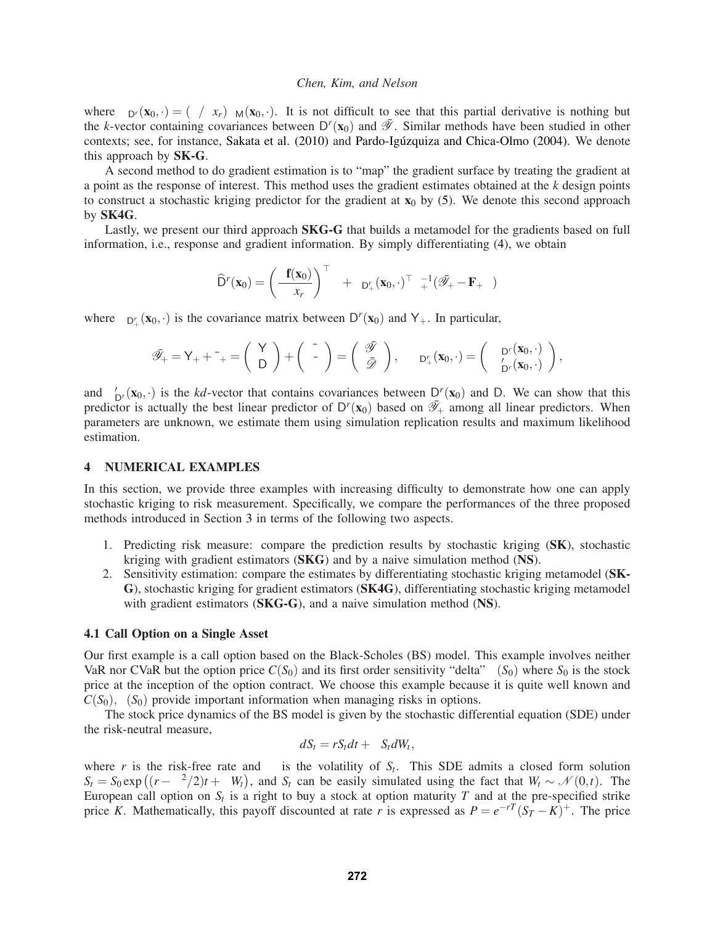where  $\Sigma_{D'}(\mathbf{x}_0,\cdot)=(\partial/\partial x_r)\Sigma_M(\mathbf{x}_0,\cdot)$ . It is not difficult to see that this partial derivative is nothing but the *k*-vector containing covariances between  $D^r(\mathbf{x}_0)$  and  $\bar{\mathcal{Y}}$ . Similar methods have been studied in other contexts; see, for instance, Sakata et al. (2010) and Pardo-Igúzquiza and Chica-Olmo (2004). We denote this approach by **SK-G**.

A second method to do gradient estimation is to "map" the gradient surface by treating the gradient at a point as the response of interest. This method uses the gradient estimates obtained at the *k* design points to construct a stochastic kriging predictor for the gradient at  $\mathbf{x}_0$  by (5). We denote this second approach by **SK4G**.

Lastly, we present our third approach **SKG-G** that builds a metamodel for the gradients based on full information, i.e., response and gradient information. By simply differentiating (4), we obtain

$$
\widehat{D}^r(\mathbf{x}_0) = \left(\frac{\partial \mathbf{f}(\mathbf{x}_0)}{\partial x_r}\right)^\top \boldsymbol{\beta} + \boldsymbol{\Sigma}_{D_+^r}(\mathbf{x}_0, \cdot)^\top \boldsymbol{\Sigma}_+^{-1} (\bar{\mathscr{Y}}_+ - \mathbf{F}_+ \boldsymbol{\beta})
$$

where  $\Sigma_{D'_+}(\mathbf{x}_0, \cdot)$  is the covariance matrix between  $D^r(\mathbf{x}_0)$  and  $Y_+$ . In particular,

$$
\bar{\mathscr{Y}}_+ = \mathsf{Y}_+ + \bar{\epsilon}_+ = \left(\begin{array}{c} \mathsf{Y} \\ \mathsf{D} \end{array} \right) + \left(\begin{array}{c} \bar{\epsilon} \\ \bar{\zeta} \end{array} \right) = \left(\begin{array}{c} \bar{\mathscr{Y}} \\ \bar{\mathscr{D}} \end{array} \right), \quad \Sigma_{\mathsf{D}_+^r}(\mathbf{x}_0, \cdot) = \left(\begin{array}{c} \Sigma_{\mathsf{D}^r}(\mathbf{x}_0, \cdot) \\ \Sigma_{\mathsf{D}^r}^{\prime}(\mathbf{x}_0, \cdot) \end{array} \right),
$$

and  $\Sigma'_{D^r}(\mathbf{x}_0, \cdot)$  is the *kd*-vector that contains covariances between  $D^r(\mathbf{x}_0)$  and D. We can show that this predictor is actually the best linear predictor of  $D^r(\mathbf{x}_0)$  based on  $\overline{\mathscr{Y}}_+$  among all linear predictors. When parameters are unknown, we estimate them using simulation replication results and maximum likelihood estimation.

### **4 NUMERICAL EXAMPLES**

In this section, we provide three examples with increasing difficulty to demonstrate how one can apply stochastic kriging to risk measurement. Specifically, we compare the performances of the three proposed methods introduced in Section 3 in terms of the following two aspects.

- 1. Predicting risk measure: compare the prediction results by stochastic kriging (**SK**), stochastic kriging with gradient estimators (**SKG**) and by a naive simulation method (**NS**).
- 2. Sensitivity estimation: compare the estimates by differentiating stochastic kriging metamodel (**SK-G**), stochastic kriging for gradient estimators (**SK4G**), differentiating stochastic kriging metamodel with gradient estimators (**SKG-G**), and a naive simulation method (**NS**).

#### **4.1 Call Option on a Single Asset**

Our first example is a call option based on the Black-Scholes (BS) model. This example involves neither VaR nor CVaR but the option price  $C(S_0)$  and its first order sensitivity "delta"  $\Delta(S_0)$  where  $S_0$  is the stock price at the inception of the option contract. We choose this example because it is quite well known and  $C(S_0)$ ,  $\Delta(S_0)$  provide important information when managing risks in options.

The stock price dynamics of the BS model is given by the stochastic differential equation (SDE) under the risk-neutral measure,

$$
dS_t = rS_t dt + \sigma S_t dW_t,
$$

where *r* is the risk-free rate and  $\sigma$  is the volatility of  $S_t$ . This SDE admits a closed form solution  $S_t = S_0 \exp((r - \sigma^2/2)t + \sigma W_t)$ , and  $S_t$  can be easily simulated using the fact that  $W_t \sim \mathcal{N}(0,t)$ . The European call option on  $S_t$  is a right to buy a stock at option maturity  $T$  and at the pre-specified strike price *K*. Mathematically, this payoff discounted at rate *r* is expressed as  $P = e^{-rT}(S_T - K)^+$ . The price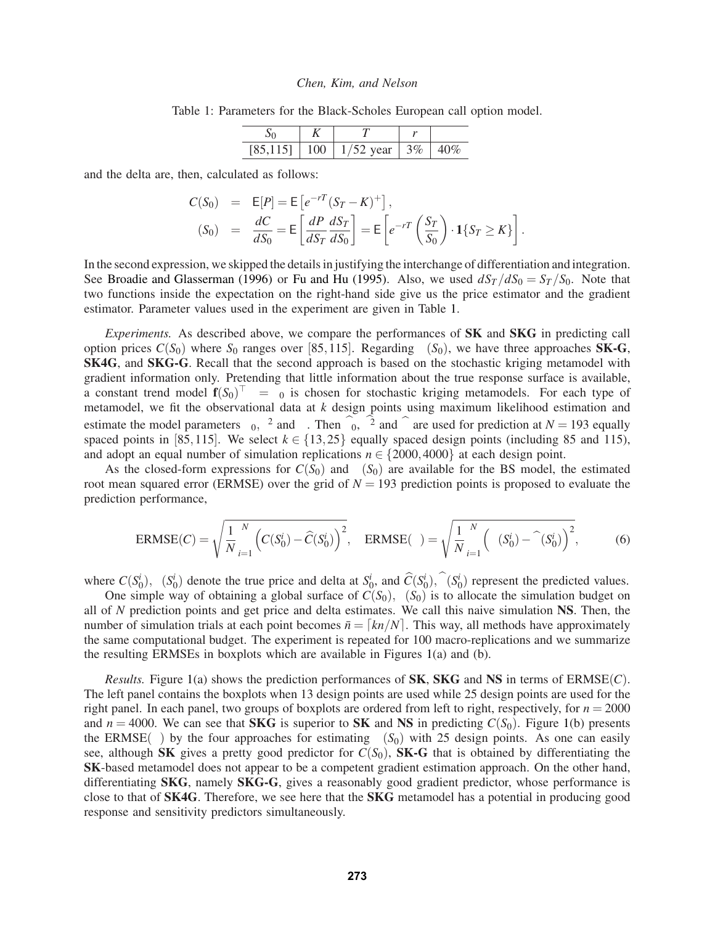Table 1: Parameters for the Black-Scholes European call option model.

|  | $[85,115]$   100   1/52 year   3% |  |  |
|--|-----------------------------------|--|--|

and the delta are, then, calculated as follows:

$$
C(S_0) = E[P] = E\left[e^{-rT}(S_T - K)^+\right],
$$
  
\n
$$
\Delta(S_0) = \frac{dC}{dS_0} = E\left[\frac{dP}{dS_T}\frac{dS_T}{dS_0}\right] = E\left[e^{-rT}\left(\frac{S_T}{S_0}\right) \cdot \mathbf{1}\{S_T \ge K\}\right].
$$

In the second expression, we skipped the details in justifying the interchange of differentiation and integration. See Broadie and Glasserman (1996) or Fu and Hu (1995). Also, we used  $dS_T/dS_0 = S_T/S_0$ . Note that two functions inside the expectation on the right-hand side give us the price estimator and the gradient estimator. Parameter values used in the experiment are given in Table 1.

*Experiments.* As described above, we compare the performances of **SK** and **SKG** in predicting call option prices  $C(S_0)$  where  $S_0$  ranges over [85,115]. Regarding  $\Delta(S_0)$ , we have three approaches **SK-G**, **SK4G**, and **SKG-G**. Recall that the second approach is based on the stochastic kriging metamodel with gradient information only. Pretending that little information about the true response surface is available, a constant trend model  $f(S_0)^{\top} \beta = \beta_0$  is chosen for stochastic kriging metamodels. For each type of metamodel, we fit the observational data at *k* design points using maximum likelihood estimation and estimate the model parameters  $\beta_0$ ,  $\tau^2$  and  $\theta$ . Then  $\beta_0$ ,  $\tau^2$  and  $\theta$  are used for prediction at  $N = 193$  equally spaced points in [85,115]. We select  $k \in \{13,25\}$  equally spaced design points (including 85 and 115), and adopt an equal number of simulation replications  $n \in \{2000, 4000\}$  at each design point.

As the closed-form expressions for  $C(S_0)$  and  $\Delta(S_0)$  are available for the BS model, the estimated root mean squared error (ERMSE) over the grid of  $N = 193$  prediction points is proposed to evaluate the prediction performance,

$$
ERMSE(C) = \sqrt{\frac{1}{N} \sum_{i=1}^{N} \left( C(S_0^i) - \widehat{C}(S_0^i) \right)^2}, \quad ERMSE(\Delta) = \sqrt{\frac{1}{N} \sum_{i=1}^{N} \left( \Delta(S_0^i) - \widehat{\Delta}(S_0^i) \right)^2},
$$
(6)

where  $C(S_0^i)$ ,  $\Delta(S_0^i)$  denote the true price and delta at  $S_0^i$ , and  $\hat{C}(S_0^i)$ ,  $\hat{\Delta}(S_0^i)$  represent the predicted values.

One simple way of obtaining a global surface of  $C(S_0), \Delta(S_0)$  is to allocate the simulation budget on all of *N* prediction points and get price and delta estimates. We call this naive simulation **NS**. Then, the number of simulation trials at each point becomes  $\bar{n} = \lceil kn/N \rceil$ . This way, all methods have approximately the same computational budget. The experiment is repeated for 100 macro-replications and we summarize the resulting ERMSEs in boxplots which are available in Figures 1(a) and (b).

*Results.* Figure 1(a) shows the prediction performances of **SK**, **SKG** and **NS** in terms of ERMSE(*C*). The left panel contains the boxplots when 13 design points are used while 25 design points are used for the right panel. In each panel, two groups of boxplots are ordered from left to right, respectively, for  $n = 2000$ and  $n = 4000$ . We can see that **SKG** is superior to **SK** and **NS** in predicting  $C(S_0)$ . Figure 1(b) presents the ERMSE( $\Delta$ ) by the four approaches for estimating  $\Delta(S_0)$  with 25 design points. As one can easily see, although **SK** gives a pretty good predictor for  $C(S_0)$ , **SK-G** that is obtained by differentiating the **SK**-based metamodel does not appear to be a competent gradient estimation approach. On the other hand, differentiating **SKG**, namely **SKG-G**, gives a reasonably good gradient predictor, whose performance is close to that of **SK4G**. Therefore, we see here that the **SKG** metamodel has a potential in producing good response and sensitivity predictors simultaneously.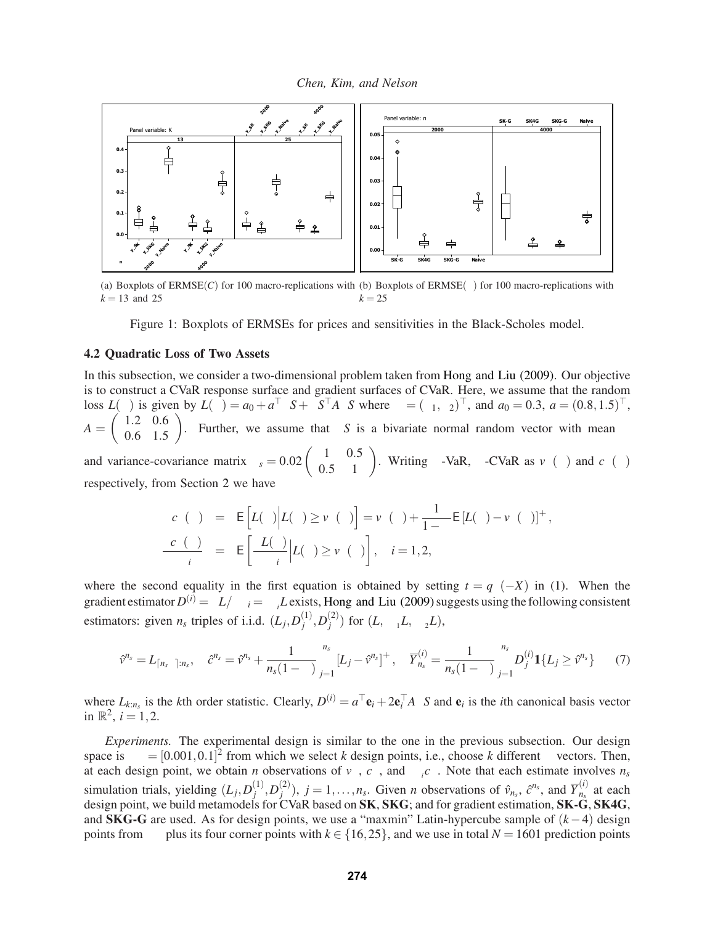



(a) Boxplots of ERMSE(*C*) for 100 macro-replications with (b) Boxplots of ERMSE(∆) for 100 macro-replications with  $k = 13$  and 25  $k = 25$ 

Figure 1: Boxplots of ERMSEs for prices and sensitivities in the Black-Scholes model.

#### **4.2 Quadratic Loss of Two Assets**

In this subsection, we consider a two-dimensional problem taken from Hong and Liu (2009). Our objective is to construct a CVaR response surface and gradient surfaces of CVaR. Here, we assume that the random loss  $L(\mu)$  is given by  $L(\mu) = a_0 + a^{\top} \Delta S + \Delta S^{\top} A \Delta S$  where  $\mu = (\mu_1, \mu_2)^{\top}$ , and  $a_0 = 0.3$ ,  $a = (0.8, 1.5)^{\top}$ ,  $A =$  $(1.2 \ 0.6)$ 0.6 1.5  $\setminus$ Further, we assume that  $\Delta S$  is a bivariate normal random vector with mean  $\mu$ and variance-covariance matrix  $\Sigma_s = 0.02 \begin{pmatrix} 1 & 0.5 \ 0.5 & 1 \end{pmatrix}$ . Writing  $\alpha$ -VaR,  $\alpha$ -CVaR as  $v_\alpha(\mu)$  and  $c_\alpha(\mu)$ 

respectively, from Section 2 we have

$$
c_{\alpha}(\mu) = \mathsf{E}\left[L(\mu)|L(\mu) \ge v_{\alpha}(\mu)\right] = v_{\alpha}(\mu) + \frac{1}{1-\alpha}\mathsf{E}\left[L(\mu) - v_{\alpha}(\mu)\right]^+, \frac{\partial c_{\alpha}(\mu)}{\partial \mu_i} = \mathsf{E}\left[\frac{\partial L(\mu)}{\partial \mu_i}|L(\mu) \ge v_{\alpha}(\mu)\right], \quad i = 1, 2,
$$

where the second equality in the first equation is obtained by setting  $t = q_\alpha(-X)$  in (1). When the gradient estimator  $D^{(i)} = \partial L/\partial \mu_i = \partial_{\mu_i}L$  exists, Hong and Liu (2009) suggests using the following consistent estimators: given  $n_s$  triples of i.i.d.  $(L_j, D_j^{(1)})$  $j^{(1)}, D_j^{(2)}$  $\hat{g}^{(2)}$ ) for  $(L, \partial_{\mu_1}L, \partial_{\mu_2}L)$ ,

$$
\hat{\nu}_{\alpha}^{n_s} = L_{\lceil n_s \alpha \rceil : n_s}, \quad \hat{c}_{\alpha}^{n_s} = \hat{\nu}_{\alpha}^{n_s} + \frac{1}{n_s(1-\alpha)} \sum_{j=1}^{n_s} \left[ L_j - \hat{\nu}_{\alpha}^{n_s} \right]^+, \quad \overline{Y}_{n_s}^{(i)} = \frac{1}{n_s(1-\alpha)} \sum_{j=1}^{n_s} D_j^{(i)} \mathbf{1} \{ L_j \ge \hat{\nu}_{\alpha}^{n_s} \} \tag{7}
$$

where  $L_{k,n_s}$  is the kth order statistic. Clearly,  $D^{(i)} = a^{\top} \mathbf{e}_i + 2 \mathbf{e}_i^{\top} A \Delta S$  and  $\mathbf{e}_i$  is the *i*th canonical basis vector in  $\mathbb{R}^2$ ,  $i = 1, 2$ .

*Experiments.* The experimental design is similar to the one in the previous subsection. Our design space is  $\Omega_{\mu} = [0.001, 0.1]^2$  from which we select *k* design points, i.e., choose *k* different  $\mu$  vectors. Then, at each design point, we obtain *n* observations of  $v_\alpha$ ,  $c_\alpha$ , and  $\partial_{\mu_i} c_\alpha$ . Note that each estimate involves  $n_s$ simulation trials, yielding  $(L_j, D_j^{(1)})$  $j^{(1)}, D_j^{(2)}$  $\hat{Y}_{j}^{(2)}$ ,  $j = 1, ..., n_s$ . Given *n* observations of  $\hat{v}_{n_s}$ ,  $\hat{c}_{\alpha}^{n_s}$ , and  $\overline{Y}_{n_s}^{(i)}$  $\binom{V}{n_s}$  at each design point, we build metamodels for CVaR based on **SK**, **SKG**; and for gradient estimation, **SK-G**, **SK4G**, and **SKG-G** are used. As for design points, we use a "maxmin" Latin-hypercube sample of (*k*−4) design points from  $\Omega_{\mu}$  plus its four corner points with  $k \in \{16, 25\}$ , and we use in total  $N = 1601$  prediction points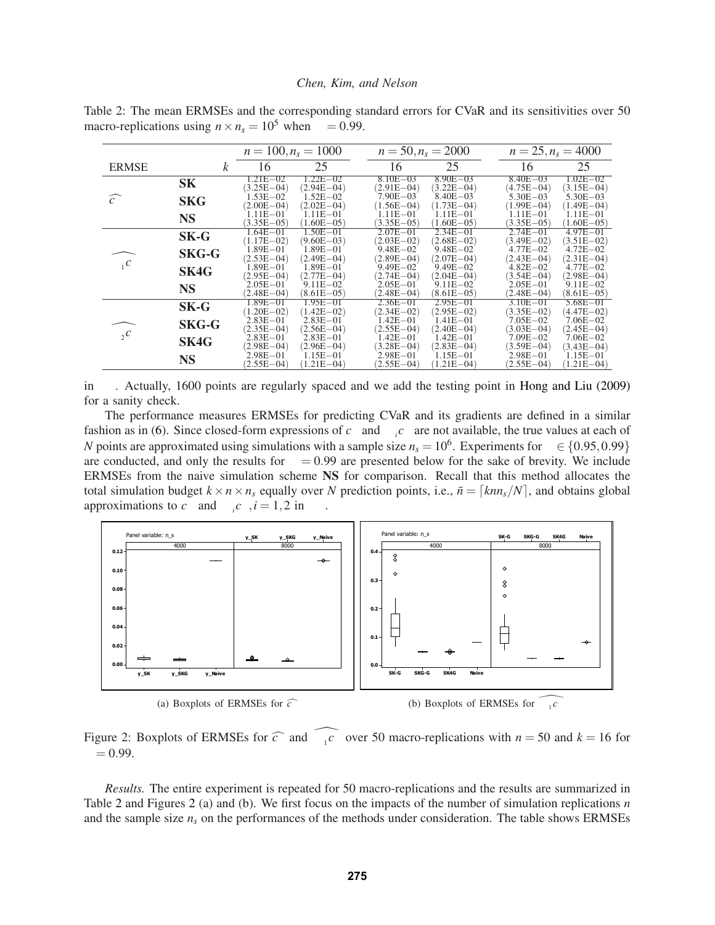Table 2: The mean ERMSEs and the corresponding standard errors for CVaR and its sensitivities over 50 macro-replications using  $n \times n_s = 10^5$  when  $\alpha = 0.99$ .

|                               |                      | $n = 100, n_s = 1000$          |                                | $n = 50, n_s = 2000$           |                                |  | $n = 25, n_s = 4000$           |                                |  |
|-------------------------------|----------------------|--------------------------------|--------------------------------|--------------------------------|--------------------------------|--|--------------------------------|--------------------------------|--|
| <b>ERMSE</b>                  | $\boldsymbol{k}$     | 16                             | 25                             | 16                             | 25                             |  | 16                             | 25                             |  |
|                               | <b>SK</b>            | $1.21E - 02$                   | $1.22E - 02$                   | $8.10E - 03$                   | $8.90E - 03$                   |  | $8.40E - 03$                   | $1.02E - 02$                   |  |
| $\widehat{c_{\alpha}}$        |                      | $(3.25E - 04)$<br>$1.53E - 02$ | $(2.94E - 04)$<br>$1.52E - 02$ | $(2.91E - 04)$<br>$7.90E - 03$ | $(3.22E - 04)$<br>$8.40E - 03$ |  | $(4.75E - 04)$<br>$5.30E - 03$ | $(3.15E - 04)$<br>$5.30E - 03$ |  |
|                               | <b>SKG</b>           | $(2.00E - 04)$                 | $(2.02E - 04)$                 | $(1.56E - 04)$                 | $(1.73E - 04)$                 |  | $(1.99E - 04)$                 | $(1.49E - 04)$                 |  |
|                               |                      | $1.11E - 01$                   | $1.11E - 01$                   | $1.11E - 01$                   | $1.11E - 01$                   |  | $1.11E - 01$                   | $1.11E - 01$                   |  |
|                               | <b>NS</b>            | $(3.35E - 05)$                 | $(1.60E - 05)$                 | $(3.35E - 05)$                 | $(1.60E - 05)$                 |  | $(3.35E - 05)$                 | $(1.60E - 05)$                 |  |
|                               | SK-G                 | $1.64E - 01$                   | 1.50E-01                       | $2.07E - 01$                   | $2.34E - 01$                   |  | $2.74E - 01$                   | $4.97E - 01$                   |  |
|                               |                      | $(1.17E - 02)$                 | $(9.60E - 03)$                 | $(2.03E - 02)$                 | $(2.68E - 02)$                 |  | $(3.49E - 02)$                 | $(3.51E - 02)$                 |  |
|                               | <b>SKG-G</b><br>SK4G | $1.89E - 01$                   | $1.89E - 01$                   | $9.48E - 02$                   | $9.48E - 02$                   |  | $4.77E - 02$                   | $4.72E - 02$                   |  |
| $\partial_{\mu_1} c_{\alpha}$ |                      | $(2.53E - 04)$                 | $(2.49E - 04)$                 | $(2.89E - 04)$                 | $(2.07E - 04)$                 |  | $(2.43E - 04)$                 | $(2.31E - 04)$                 |  |
|                               |                      | $1.89E - 01$                   | $1.89E - 01$                   | $9.49E - 02$                   | $9.49E - 02$                   |  | $4.82E - 02$                   | $4.77E - 02$                   |  |
|                               |                      | $(2.95E - 04)$                 | $(2.77E - 04)$                 | $(2.74E - 04)$                 | $(2.04E - 04)$                 |  | $(3.54E - 04)$                 | $(2.98E - 04)$                 |  |
|                               | <b>NS</b>            | $2.05E - 01$<br>$(2.48E - 04)$ | $9.11E - 02$<br>$(8.61E - 05)$ | $2.05E - 01$<br>$(2.48E - 04)$ | $9.11E - 02$<br>$(8.61E - 05)$ |  | $2.05E - 01$<br>$(2.48E - 04)$ | $9.11E - 02$<br>$(8.61E - 05)$ |  |
|                               |                      | $1.89E - 01$                   | $1.95E - 01$                   | $2.36E - 01$                   | $2.95E - 01$                   |  | $3.10E - 01$                   | $5.68E - 01$                   |  |
|                               | $SK-G$               | $(1.20E - 02)$                 | $(1.42E - 02)$                 | $(2.34E - 02)$                 | $(2.95E - 02)$                 |  | $(3.35E - 02)$                 | $(4.47E - 02)$                 |  |
|                               | <b>SKG-G</b>         | $2.83E - 01$                   | $2.83E - 01$                   | $1.42E - 01$                   | $1.41E - 01$                   |  | $7.05E - 02$                   | $7.06E - 02$                   |  |
|                               |                      | $(2.35E - 04)$                 | $(2.56E - 04)$                 | $(2.55E - 04)$                 | $(2.40E - 04)$                 |  | $(3.03E - 04)$                 | $(2.45E - 04)$                 |  |
| $\partial_{\mu_2} c_{\alpha}$ | SK4G                 | $2.83E - 01$                   | $2.83E - 01$                   | $1.42E - 01$                   | $1.42E - 01$                   |  | $7.09E - 02$                   | $7.06E - 02$                   |  |
|                               |                      | $(2.98E - 04)$                 | $(2.96E - 04)$                 | $(3.28E - 04)$                 | $(2.83E - 04)$                 |  | $(3.59E - 04)$                 | $(3.43E - 04)$                 |  |
|                               | <b>NS</b>            | $2.98E - 01$                   | $1.15E - 01$                   | $2.98E - 01$                   | $1.15E - 01$                   |  | $2.98E - 01$                   | $1.15E - 01$                   |  |
|                               |                      | $(2.55E - 04)$                 | $(1.21E - 04)$                 | $(2.55E - 04)$                 | $(1.21E - 04)$                 |  | $(2.55E - 04)$                 | $(1.21E - 04)$                 |  |

in  $\Omega_{\mu}$ . Actually, 1600 points are regularly spaced and we add the testing point in Hong and Liu (2009) for a sanity check.

The performance measures ERMSEs for predicting CVaR and its gradients are defined in a similar fashion as in (6). Since closed-form expressions of  $c_\alpha$  and  $\partial_{\mu_i} c_\alpha$  are not available, the true values at each of *N* points are approximated using simulations with a sample size  $n_s = 10^6$ . Experiments for  $\alpha \in \{0.95, 0.99\}$ are conducted, and only the results for  $\alpha = 0.99$  are presented below for the sake of brevity. We include ERMSEs from the naive simulation scheme **NS** for comparison. Recall that this method allocates the total simulation budget  $k \times n \times n_s$  equally over *N* prediction points, i.e.,  $\bar{n} = \lceil k n n_s / N \rceil$ , and obtains global approximations to  $c_{\alpha}$  and  $\partial_{\mu_i} c_{\alpha}$ ,  $i = 1, 2$  in  $\Omega_{\mu}$ .



Figure 2: Boxplots of ERMSEs for  $\widehat{c_{\alpha}}$  and  $\widehat{\partial_{\mu_1} c_{\alpha}}$  over 50 macro-replications with  $n = 50$  and  $k = 16$  for  $\alpha = 0.99$ .

*Results.* The entire experiment is repeated for 50 macro-replications and the results are summarized in Table 2 and Figures 2 (a) and (b). We first focus on the impacts of the number of simulation replications *n* and the sample size *n<sup>s</sup>* on the performances of the methods under consideration. The table shows ERMSEs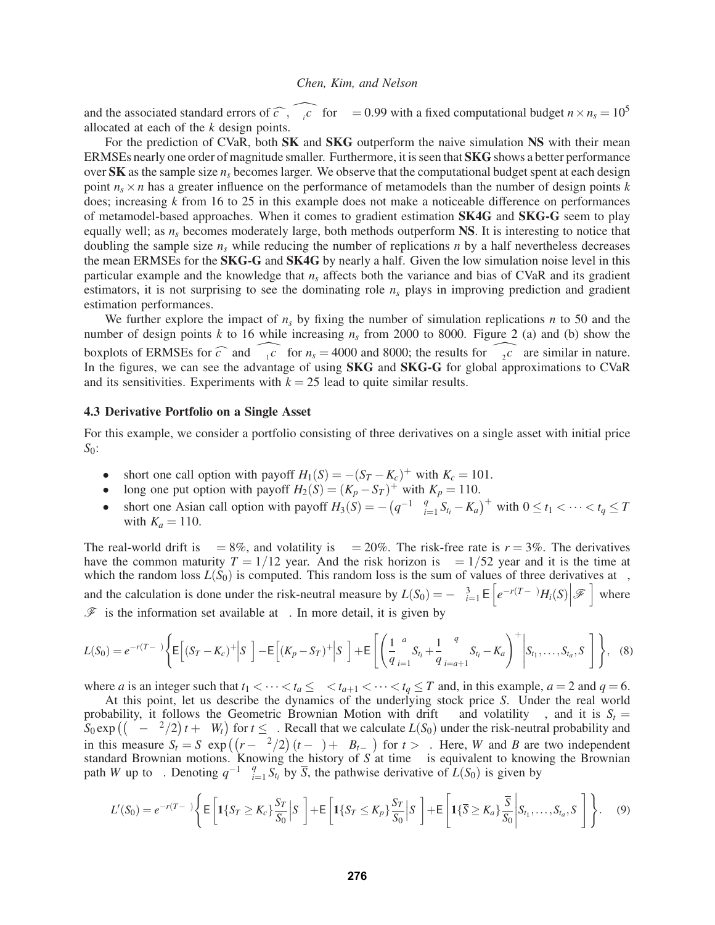and the associated standard errors of  $\widehat{c_{\alpha}}, \widehat{\partial_{\mu_i} c_{\alpha}}$  for  $\alpha = 0.99$  with a fixed computational budget  $n \times n_s = 10^5$ allocated at each of the *k* design points.

For the prediction of CVaR, both **SK** and **SKG** outperform the naive simulation **NS** with their mean ERMSEs nearly one order of magnitude smaller. Furthermore, it is seen that **SKG** shows a better performance over **SK** as the sample size  $n<sub>s</sub>$  becomes larger. We observe that the computational budget spent at each design point  $n_s \times n$  has a greater influence on the performance of metamodels than the number of design points  $k$ does; increasing *k* from 16 to 25 in this example does not make a noticeable difference on performances of metamodel-based approaches. When it comes to gradient estimation **SK4G** and **SKG-G** seem to play equally well; as *n<sup>s</sup>* becomes moderately large, both methods outperform **NS**. It is interesting to notice that doubling the sample size  $n<sub>s</sub>$  while reducing the number of replications *n* by a half nevertheless decreases the mean ERMSEs for the **SKG-G** and **SK4G** by nearly a half. Given the low simulation noise level in this particular example and the knowledge that *n<sup>s</sup>* affects both the variance and bias of CVaR and its gradient estimators, it is not surprising to see the dominating role  $n<sub>s</sub>$  plays in improving prediction and gradient estimation performances.

We further explore the impact of  $n<sub>s</sub>$  by fixing the number of simulation replications *n* to 50 and the number of design points *k* to 16 while increasing *n<sup>s</sup>* from 2000 to 8000. Figure 2 (a) and (b) show the boxplots of ERMSEs for  $\widehat{c_{\alpha}}$  and  $\widehat{\theta_{\mu_1} c_{\alpha}}$  for  $n_s = 4000$  and 8000; the results for  $\widehat{\theta_{\mu_2} c_{\alpha}}$  are similar in nature. In the figures, we can see the advantage of using **SKG** and **SKG-G** for global approximations to CVaR and its sensitivities. Experiments with  $k = 25$  lead to quite similar results.

# **4.3 Derivative Portfolio on a Single Asset**

For this example, we consider a portfolio consisting of three derivatives on a single asset with initial price *S*0:

- short one call option with payoff  $H_1(S) = -(S_T K_c)^+$  with  $K_c = 101$ .
- long one put option with payoff  $H_2(S) = (K_p S_T)^+$  with  $K_p = 110$ .
- short one Asian call option with payoff  $H_3(S) = -(q^{-1} \sum_{i=1}^q q_i^2)$  $\int_{i=1}^{q} S_{t_i} - K_a$ <sup>+</sup> with  $0 \le t_1 < \cdots < t_q \le T$ with  $K_a = 110$ .

The real-world drift is  $\mu = 8\%$ , and volatility is  $\sigma = 20\%$ . The risk-free rate is  $r = 3\%$ . The derivatives have the common maturity  $T = 1/12$  year. And the risk horizon is  $\tau = 1/52$  year and it is the time at which the random loss  $L(S_0)$  is computed. This random loss is the sum of values of three derivatives at  $\tau$ , and the calculation is done under the risk-neutral measure by  $L(S_0) = -\sum_{i=1}^3 \mathsf{E}\left[e^{-r(T-\tau)}H_i(S)\middle|\mathscr{F}_\tau\right]$  where  $\mathcal{F}_{\tau}$  is the information set available at  $\tau$ . In more detail, it is given by

$$
L(S_0) = e^{-r(T-\tau)} \left\{ \mathbb{E} \left[ (S_T - K_c)^+ \Big| S_\tau \right] - \mathbb{E} \left[ (K_p - S_T)^+ \Big| S_\tau \right] + \mathbb{E} \left[ \left( \frac{1}{q} \sum_{i=1}^a S_{t_i} + \frac{1}{q} \sum_{i=a+1}^q S_{t_i} - K_a \right)^+ \Big| S_{t_1}, \dots, S_{t_a}, S_\tau \right] \right\}, \quad (8)
$$

where *a* is an integer such that  $t_1 < \cdots < t_a \le \tau < t_{a+1} < \cdots < t_q \le T$  and, in this example,  $a = 2$  and  $q = 6$ .

At this point, let us describe the dynamics of the underlying stock price *S*. Under the real world probability, it follows the Geometric Brownian Motion with drift  $\mu$  and volatility  $\sigma$ , and it is  $S_t$  $S_0$  exp  $((\mu - \sigma^2/2)t + \sigma W_t)$  for  $t \leq \tau$ . Recall that we calculate  $L(S_0)$  under the risk-neutral probability and in this measure  $S_t = S_\tau \exp((r - \sigma^2/2)(t - \tau) + \sigma B_{t-\tau})$  for  $t > \tau$ . Here, *W* and *B* are two independent standard Brownian motions. Knowing the history of *S* at time  $\tau$  is equivalent to knowing the Brownian path *W* up to  $\tau$ . Denoting  $q^{-1} \sum_{i=1}^{q}$  $S_{i=1}^{q} S_{t_i}$  by *S*, the pathwise derivative of  $L(S_0)$  is given by

$$
L'(S_0) = e^{-r(T-\tau)} \left\{ \mathsf{E}\left[\mathbf{1}\{S_T \geq K_c\} \frac{S_T}{S_0} \Big| S_{\tau}\right] + \mathsf{E}\left[\mathbf{1}\{S_T \leq K_p\} \frac{S_T}{S_0} \Big| S_{\tau}\right] + \mathsf{E}\left[\mathbf{1}\{\overline{S} \geq K_a\} \frac{\overline{S}}{S_0} \Big| S_{t_1},\ldots,S_{t_a},S_{\tau}\right] \right\}.
$$
 (9)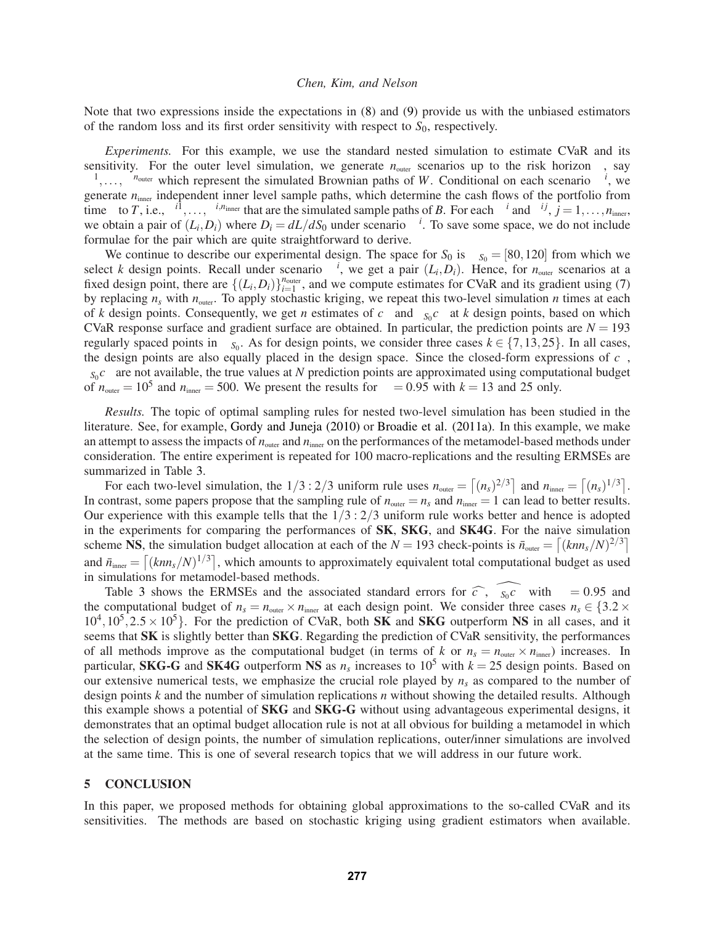Note that two expressions inside the expectations in (8) and (9) provide us with the unbiased estimators of the random loss and its first order sensitivity with respect to  $S_0$ , respectively.

*Experiments.* For this example, we use the standard nested simulation to estimate CVaR and its sensitivity. For the outer level simulation, we generate  $n_{\text{outer}}$  scenarios up to the risk horizon  $\tau$ , say  $\omega^1, \ldots, \omega^{n_{\text{outer}}}$  which represent the simulated Brownian paths of *W*. Conditional on each scenario  $\omega^i$ , we generate  $n_{\text{inner}}$  independent inner level sample paths, which determine the cash flows of the portfolio from time  $\tau$  to *T*, i.e.,  $\zeta^{i1}, \ldots, \zeta^{i,n_{\text{inner}}}$  that are the simulated sample paths of *B*. For each  $\omega^i$  and  $\zeta^{ij}$ ,  $j = 1, \ldots, n_{\text{inner}}$ , we obtain a pair of  $(L_i, D_i)$  where  $D_i = dL/dS_0$  under scenario  $\omega^i$ . To save some space, we do not include formulae for the pair which are quite straightforward to derive.

We continue to describe our experimental design. The space for  $S_0$  is  $\Omega_{S_0} = [80, 120]$  from which we select *k* design points. Recall under scenario  $\omega^i$ , we get a pair  $(L_i, D_i)$ . Hence, for  $n_{\text{outer}}$  scenarios at a fixed design point, there are  $\{(L_i, D_i)\}_{i=1}^{n_{\text{outer}}}$ , and we compute estimates for CVaR and its gradient using (7) by replacing  $n_s$  with  $n_{\text{outer}}$ . To apply stochastic kriging, we repeat this two-level simulation  $n$  times at each of *k* design points. Consequently, we get *n* estimates of  $c_{\alpha}$  and  $\partial_{S_0} c_{\alpha}$  at *k* design points, based on which CVaR response surface and gradient surface are obtained. In particular, the prediction points are  $N = 193$ regularly spaced points in  $\Omega_{S_0}$ . As for design points, we consider three cases  $k \in \{7, 13, 25\}$ . In all cases, the design points are also equally placed in the design space. Since the closed-form expressions of  $c_{\alpha}$ ,  $\partial_{S_0} c_\alpha$  are not available, the true values at *N* prediction points are approximated using computational budget of  $n_{\text{outer}} = 10^5$  and  $n_{\text{inner}} = 500$ . We present the results for  $\alpha = 0.95$  with  $k = 13$  and 25 only.

*Results.* The topic of optimal sampling rules for nested two-level simulation has been studied in the literature. See, for example, Gordy and Juneja (2010) or Broadie et al. (2011a). In this example, we make an attempt to assess the impacts of  $n_{\text{outer}}$  and  $n_{\text{inner}}$  on the performances of the metamodel-based methods under consideration. The entire experiment is repeated for 100 macro-replications and the resulting ERMSEs are summarized in Table 3.

For each two-level simulation, the  $1/3:2/3$  uniform rule uses  $n_{\text{outer}} = \left[ (n_s)^{2/3} \right]$  and  $n_{\text{inner}} = \left[ (n_s)^{1/3} \right]$ . In contrast, some papers propose that the sampling rule of  $n_{\text{outer}} = n_s$  and  $n_{\text{inner}} = 1$  can lead to better results. Our experience with this example tells that the  $1/3:2/3$  uniform rule works better and hence is adopted in the experiments for comparing the performances of **SK**, **SKG**, and **SK4G**. For the naive simulation scheme **NS**, the simulation budget allocation at each of the  $N = 193$  check-points is  $\bar{n}_{\text{outer}} = \left[ (knn_s/N)^{2/3} \right]$ and  $\bar{n}_{\text{inner}} = \left[ (knn_s/N)^{1/3} \right]$ , which amounts to approximately equivalent total computational budget as used in simulations for metamodel-based methods.

Table 3 shows the ERMSEs and the associated standard errors for  $\widehat{c_{\alpha}}$ ,  $\widehat{\partial_{s_0}c_{\alpha}}$  with  $\alpha = 0.95$  and the computational budget of  $n_s = n_{\text{outer}} \times n_{\text{inner}}$  at each design point. We consider three cases  $n_s \in \{3.2 \times n_{\text{inner}}\}$  $10^4$ ,  $10^5$ ,  $2.5 \times 10^5$ . For the prediction of CVaR, both **SK** and **SKG** outperform **NS** in all cases, and it seems that **SK** is slightly better than **SKG**. Regarding the prediction of CVaR sensitivity, the performances of all methods improve as the computational budget (in terms of *k* or  $n_s = n_{\text{outer}} \times n_{\text{inner}}$ ) increases. In particular, **SKG-G** and **SK4G** outperform **NS** as  $n<sub>s</sub>$  increases to 10<sup>5</sup> with  $k = 25$  design points. Based on our extensive numerical tests, we emphasize the crucial role played by *n<sup>s</sup>* as compared to the number of design points *k* and the number of simulation replications *n* without showing the detailed results. Although this example shows a potential of **SKG** and **SKG-G** without using advantageous experimental designs, it demonstrates that an optimal budget allocation rule is not at all obvious for building a metamodel in which the selection of design points, the number of simulation replications, outer/inner simulations are involved at the same time. This is one of several research topics that we will address in our future work.

### **5 CONCLUSION**

In this paper, we proposed methods for obtaining global approximations to the so-called CVaR and its sensitivities. The methods are based on stochastic kriging using gradient estimators when available.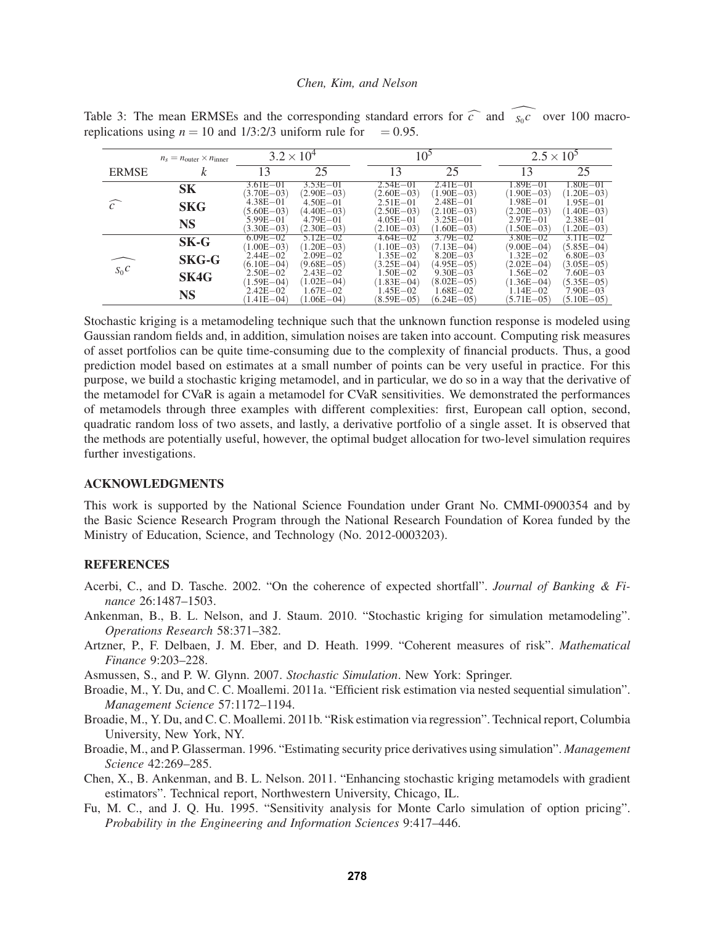|                             | $n_s = n_{\text{outer}} \times n_{\text{inner}}$ | $3.2 \times 10^{4}$            |                                | 10 <sup>5</sup>                |                                |  | $2.5 \times 10^{5}$            |                                |  |
|-----------------------------|--------------------------------------------------|--------------------------------|--------------------------------|--------------------------------|--------------------------------|--|--------------------------------|--------------------------------|--|
| <b>ERMSE</b>                | k                                                | 13                             | 25                             | 13                             | 25                             |  | 13                             | 25                             |  |
|                             | <b>SK</b>                                        | $3.61E - 01$<br>$(3.70E - 03)$ | $3.53E - 01$<br>$(2.90E - 03)$ | $2.54E - 01$<br>$(2.60E - 03)$ | $2.41E - 01$<br>$(1.90E - 03)$ |  | 1.89E-01<br>$(1.90E - 03)$     | $1.80E - 01$<br>$1.20E - 03$   |  |
| $\widehat{c_{\alpha}}$      | <b>SKG</b>                                       | $4.38E - 01$<br>$(5.60E - 03)$ | $4.50E - 01$<br>$(4.40E - 03)$ | $2.51E - 01$<br>$(2.50E - 03)$ | $2.48E - 01$<br>$(2.10E - 03)$ |  | $1.98E - 01$<br>$(2.20E - 03)$ | $1.95E - 01$<br>$(1.40E - 03)$ |  |
|                             | <b>NS</b>                                        | $5.99E - 01$<br>$(3.30E - 03)$ | $4.79E - 01$<br>$(2.30E - 03)$ | $4.05E - 01$<br>$(2.10E - 03)$ | $3.25E - 01$<br>$(1.60E - 03)$ |  | $2.97E - 01$<br>$(1.50E - 03)$ | $2.38E - 01$<br>$(1.20E - 03)$ |  |
|                             | $SK-G$                                           | $6.09E - 02$<br>$(1.00E - 03)$ | $5.12E - 02$<br>$1.20E - 03$   | $4.64E - 02$<br>$(1.10E - 03)$ | $3.79E - 02$<br>$7.13E - 04$   |  | $3.80E - 02$<br>$(9.00E - 04)$ | $3.11E - 02$<br>$(5.85E - 04)$ |  |
| $\partial_{S_0} c_{\alpha}$ | <b>SKG-G</b>                                     | $2.44E - 02$<br>$(6.10E - 04)$ | $2.09E - 02$<br>$(9.68E - 05)$ | $1.35E - 02$<br>$(3.25E - 04)$ | $8.20E - 03$<br>$(4.95E - 05)$ |  | $1.32E - 02$<br>$(2.02E - 04)$ | $6.80E - 03$<br>$(3.05E - 05)$ |  |
|                             | SK4G                                             | $2.50E - 02$<br>$1.59E - 04$   | $2.43E - 02$<br>$1.02E - 04$   | $1.50E - 02$<br>$(1.83E - 04)$ | $9.30E - 03$<br>$(8.02E - 05)$ |  | $1.56E - 02$<br>$1.36E - 04$   | $7.60E - 03$<br>$(5.35E - 05)$ |  |
|                             | <b>NS</b>                                        | $2.42E - 02$<br>$(1.41E - 04)$ | $1.67E - 02$<br>$1.06E - 04$   | $1.45E - 02$<br>$(8.59E - 05)$ | $1.68E - 02$<br>$(6.24E - 05)$ |  | $1.14E - 02$<br>$(5.71E - 05)$ | $7.90E - 03$<br>$(5.10E - 05)$ |  |

Table 3: The mean ERMSEs and the corresponding standard errors for  $\widehat{c_{\alpha}}$  and  $\widehat{\partial_{S_0} c_{\alpha}}$  over 100 macroreplications using  $n = 10$  and  $1/3:2/3$  uniform rule for  $\alpha = 0.95$ .

Stochastic kriging is a metamodeling technique such that the unknown function response is modeled using Gaussian random fields and, in addition, simulation noises are taken into account. Computing risk measures of asset portfolios can be quite time-consuming due to the complexity of financial products. Thus, a good prediction model based on estimates at a small number of points can be very useful in practice. For this purpose, we build a stochastic kriging metamodel, and in particular, we do so in a way that the derivative of the metamodel for CVaR is again a metamodel for CVaR sensitivities. We demonstrated the performances of metamodels through three examples with different complexities: first, European call option, second, quadratic random loss of two assets, and lastly, a derivative portfolio of a single asset. It is observed that the methods are potentially useful, however, the optimal budget allocation for two-level simulation requires further investigations.

### **ACKNOWLEDGMENTS**

This work is supported by the National Science Foundation under Grant No. CMMI-0900354 and by the Basic Science Research Program through the National Research Foundation of Korea funded by the Ministry of Education, Science, and Technology (No. 2012-0003203).

# **REFERENCES**

- Acerbi, C., and D. Tasche. 2002. "On the coherence of expected shortfall". *Journal of Banking & Finance* 26:1487–1503.
- Ankenman, B., B. L. Nelson, and J. Staum. 2010. "Stochastic kriging for simulation metamodeling". *Operations Research* 58:371–382.
- Artzner, P., F. Delbaen, J. M. Eber, and D. Heath. 1999. "Coherent measures of risk". *Mathematical Finance* 9:203–228.
- Asmussen, S., and P. W. Glynn. 2007. *Stochastic Simulation*. New York: Springer.
- Broadie, M., Y. Du, and C. C. Moallemi. 2011a. "Efficient risk estimation via nested sequential simulation". *Management Science* 57:1172–1194.
- Broadie, M., Y. Du, and C. C. Moallemi. 2011b. "Risk estimation via regression". Technical report, Columbia University, New York, NY.
- Broadie, M., and P. Glasserman. 1996. "Estimating security price derivatives using simulation". *Management Science* 42:269–285.
- Chen, X., B. Ankenman, and B. L. Nelson. 2011. "Enhancing stochastic kriging metamodels with gradient estimators". Technical report, Northwestern University, Chicago, IL.
- Fu, M. C., and J. Q. Hu. 1995. "Sensitivity analysis for Monte Carlo simulation of option pricing". *Probability in the Engineering and Information Sciences* 9:417–446.